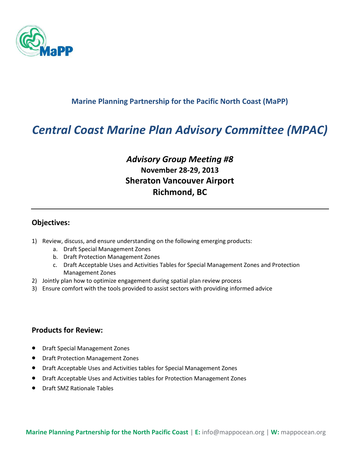

### **Marine Planning Partnership for the Pacific North Coast (MaPP)**

# *Central Coast Marine Plan Advisory Committee (MPAC)*

# *Advisory Group Meeting #8* **November 28-29, 2013 Sheraton Vancouver Airport Richmond, BC**

#### **Objectives:**

- 1) Review, discuss, and ensure understanding on the following emerging products:
	- a. Draft Special Management Zones
	- b. Draft Protection Management Zones
	- c. Draft Acceptable Uses and Activities Tables for Special Management Zones and Protection Management Zones
- 2) Jointly plan how to optimize engagement during spatial plan review process
- 3) Ensure comfort with the tools provided to assist sectors with providing informed advice

#### **Products for Review:**

- Draft Special Management Zones
- Draft Protection Management Zones
- Draft Acceptable Uses and Activities tables for Special Management Zones
- Draft Acceptable Uses and Activities tables for Protection Management Zones
- Draft SMZ Rationale Tables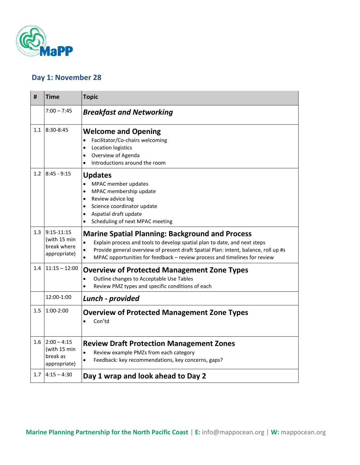

## **Day 1: November 28**

| #   | <b>Time</b>                                                 | <b>Topic</b>                                                                                                                                                                                                                                                                                                                                   |
|-----|-------------------------------------------------------------|------------------------------------------------------------------------------------------------------------------------------------------------------------------------------------------------------------------------------------------------------------------------------------------------------------------------------------------------|
|     | $7:00 - 7:45$                                               | <b>Breakfast and Networking</b>                                                                                                                                                                                                                                                                                                                |
| 1.1 | 8:30-8:45                                                   | <b>Welcome and Opening</b><br>Facilitator/Co-chairs welcoming<br>$\bullet$<br>Location logistics<br>$\bullet$<br>Overview of Agenda<br>$\bullet$<br>Introductions around the room<br>$\bullet$                                                                                                                                                 |
| 1.2 | $8:45 - 9:15$                                               | <b>Updates</b><br>MPAC member updates<br>$\bullet$<br>MPAC membership update<br>$\bullet$<br>Review advice log<br>$\bullet$<br>Science coordinator update<br>$\bullet$<br>Aspatial draft update<br>$\bullet$<br>Scheduling of next MPAC meeting<br>$\bullet$                                                                                   |
| 1.3 | $9:15-11:15$<br>(with 15 min<br>break where<br>appropriate) | <b>Marine Spatial Planning: Background and Process</b><br>Explain process and tools to develop spatial plan to date, and next steps<br>$\bullet$<br>Provide general overview of present draft Spatial Plan: intent, balance, roll up #s<br>$\bullet$<br>MPAC opportunities for feedback - review process and timelines for review<br>$\bullet$ |
| 1.4 | $11:15 - 12:00$                                             | <b>Overview of Protected Management Zone Types</b><br>Outline changes to Acceptable Use Tables<br>$\bullet$<br>Review PMZ types and specific conditions of each<br>$\bullet$                                                                                                                                                                   |
|     | 12:00-1:00                                                  | Lunch - provided                                                                                                                                                                                                                                                                                                                               |
| 1.5 | $1:00-2:00$                                                 | <b>Overview of Protected Management Zone Types</b><br>Con'td<br>$\bullet$                                                                                                                                                                                                                                                                      |
| 1.6 | $2:00 - 4:15$<br>(with 15 min<br>break as<br>appropriate)   | <b>Review Draft Protection Management Zones</b><br>$\bullet$<br>Review example PMZs from each category<br>Feedback: key recommendations, key concerns, gaps?<br>$\bullet$                                                                                                                                                                      |
| 1.7 | $4:15 - 4:30$                                               | Day 1 wrap and look ahead to Day 2                                                                                                                                                                                                                                                                                                             |